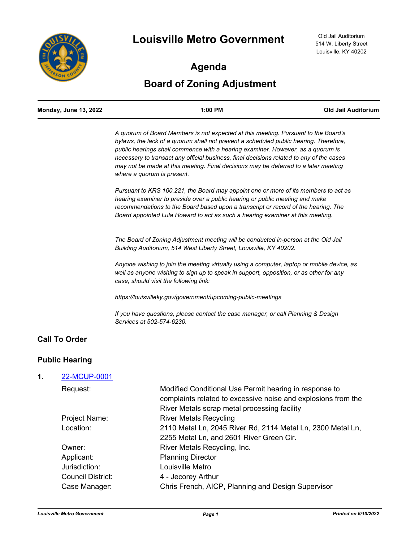

## **Agenda**

# **Board of Zoning Adjustment**

|    | <b>Monday, June 13, 2022</b> | 1:00 PM                                                                                                                                                                                                                                                                                                                                                                                                                                                                         | <b>Old Jail Auditorium</b> |
|----|------------------------------|---------------------------------------------------------------------------------------------------------------------------------------------------------------------------------------------------------------------------------------------------------------------------------------------------------------------------------------------------------------------------------------------------------------------------------------------------------------------------------|----------------------------|
|    |                              | A quorum of Board Members is not expected at this meeting. Pursuant to the Board's<br>bylaws, the lack of a quorum shall not prevent a scheduled public hearing. Therefore,<br>public hearings shall commence with a hearing examiner. However, as a quorum is<br>necessary to transact any official business, final decisions related to any of the cases<br>may not be made at this meeting. Final decisions may be deferred to a later meeting<br>where a quorum is present. |                            |
|    |                              | Pursuant to KRS 100.221, the Board may appoint one or more of its members to act as<br>hearing examiner to preside over a public hearing or public meeting and make<br>recommendations to the Board based upon a transcript or record of the hearing. The<br>Board appointed Lula Howard to act as such a hearing examiner at this meeting.                                                                                                                                     |                            |
|    |                              | The Board of Zoning Adjustment meeting will be conducted in-person at the Old Jail<br>Building Auditorium, 514 West Liberty Street, Louisville, KY 40202.                                                                                                                                                                                                                                                                                                                       |                            |
|    |                              | Anyone wishing to join the meeting virtually using a computer, laptop or mobile device, as<br>well as anyone wishing to sign up to speak in support, opposition, or as other for any<br>case, should visit the following link:                                                                                                                                                                                                                                                  |                            |
|    |                              | https://louisvilleky.gov/government/upcoming-public-meetings                                                                                                                                                                                                                                                                                                                                                                                                                    |                            |
|    |                              | If you have questions, please contact the case manager, or call Planning & Design<br>Services at 502-574-6230.                                                                                                                                                                                                                                                                                                                                                                  |                            |
|    | <b>Call To Order</b>         |                                                                                                                                                                                                                                                                                                                                                                                                                                                                                 |                            |
|    | <b>Public Hearing</b>        |                                                                                                                                                                                                                                                                                                                                                                                                                                                                                 |                            |
| 1. | 22-MCUP-0001                 |                                                                                                                                                                                                                                                                                                                                                                                                                                                                                 |                            |
|    | Request:                     | Modified Conditional Use Permit hearing in response to<br>complaints related to excessive noise and explosions from the<br>River Metals scrap metal processing facility                                                                                                                                                                                                                                                                                                         |                            |
|    | Project Name:                | <b>River Metals Recycling</b>                                                                                                                                                                                                                                                                                                                                                                                                                                                   |                            |
|    | Location:                    | 2110 Metal Ln, 2045 River Rd, 2114 Metal Ln, 2300 Metal Ln,<br>2255 Metal Ln, and 2601 River Green Cir.                                                                                                                                                                                                                                                                                                                                                                         |                            |
|    | Owner:                       | River Metals Recycling, Inc.                                                                                                                                                                                                                                                                                                                                                                                                                                                    |                            |
|    | Applicant:                   | <b>Planning Director</b>                                                                                                                                                                                                                                                                                                                                                                                                                                                        |                            |

Jurisdiction: Louisville Metro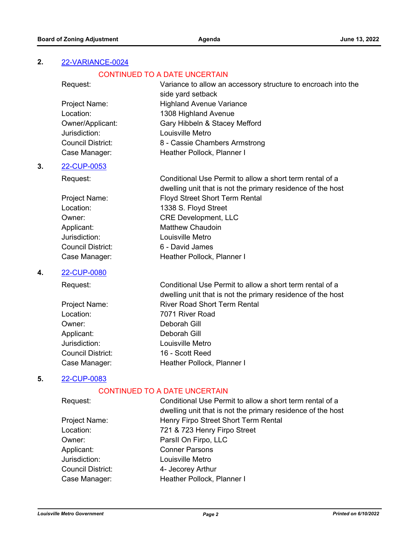## **2.** [22-VARIANCE-0024](http://louisville.legistar.com/gateway.aspx?m=l&id=/matter.aspx?key=60179)

#### CONTINUED TO A DATE UNCERTAIN

| Request:                 | Variance to allow an accessory structure to encroach into the |
|--------------------------|---------------------------------------------------------------|
|                          | side yard setback                                             |
| Project Name:            | <b>Highland Avenue Variance</b>                               |
| Location:                | 1308 Highland Avenue                                          |
| Owner/Applicant:         | Gary Hibbeln & Stacey Mefford                                 |
| Jurisdiction:            | Louisville Metro                                              |
| <b>Council District:</b> | 8 - Cassie Chambers Armstrong                                 |
| Case Manager:            | Heather Pollock, Planner I                                    |
|                          |                                                               |

## **3.** [22-CUP-0053](http://louisville.legistar.com/gateway.aspx?m=l&id=/matter.aspx?key=60054)

Request: Conditional Use Permit to allow a short term rental of a dwelling unit that is not the primary residence of the host Project Name: Floyd Street Short Term Rental Location: 1338 S. Floyd Street Owner: CRE Development, LLC Applicant: Matthew Chaudoin Jurisdiction: Louisville Metro Council District: 6 - David James Case Manager: Fig. 2016 Heather Pollock, Planner I

## **4.** [22-CUP-0080](http://louisville.legistar.com/gateway.aspx?m=l&id=/matter.aspx?key=60656)

Request: Conditional Use Permit to allow a short term rental of a

|                   | dwelling unit that is not the primary residence of the host |
|-------------------|-------------------------------------------------------------|
| Project Name:     | <b>River Road Short Term Rental</b>                         |
| Location:         | 7071 River Road                                             |
| Owner:            | Deborah Gill                                                |
| Applicant:        | Deborah Gill                                                |
| Jurisdiction:     | Louisville Metro                                            |
| Council District: | 16 - Scott Reed                                             |
| Case Manager:     | Heather Pollock, Planner I                                  |

## **5.** [22-CUP-0083](http://louisville.legistar.com/gateway.aspx?m=l&id=/matter.aspx?key=60655)

#### CONTINUED TO A DATE UNCERTAIN

| Request:          | Conditional Use Permit to allow a short term rental of a    |
|-------------------|-------------------------------------------------------------|
|                   | dwelling unit that is not the primary residence of the host |
| Project Name:     | Henry Firpo Street Short Term Rental                        |
| Location:         | 721 & 723 Henry Firpo Street                                |
| Owner:            | ParsII On Firpo, LLC                                        |
| Applicant:        | <b>Conner Parsons</b>                                       |
| Jurisdiction:     | Louisville Metro                                            |
| Council District: | 4- Jecorey Arthur                                           |
| Case Manager:     | Heather Pollock, Planner I                                  |